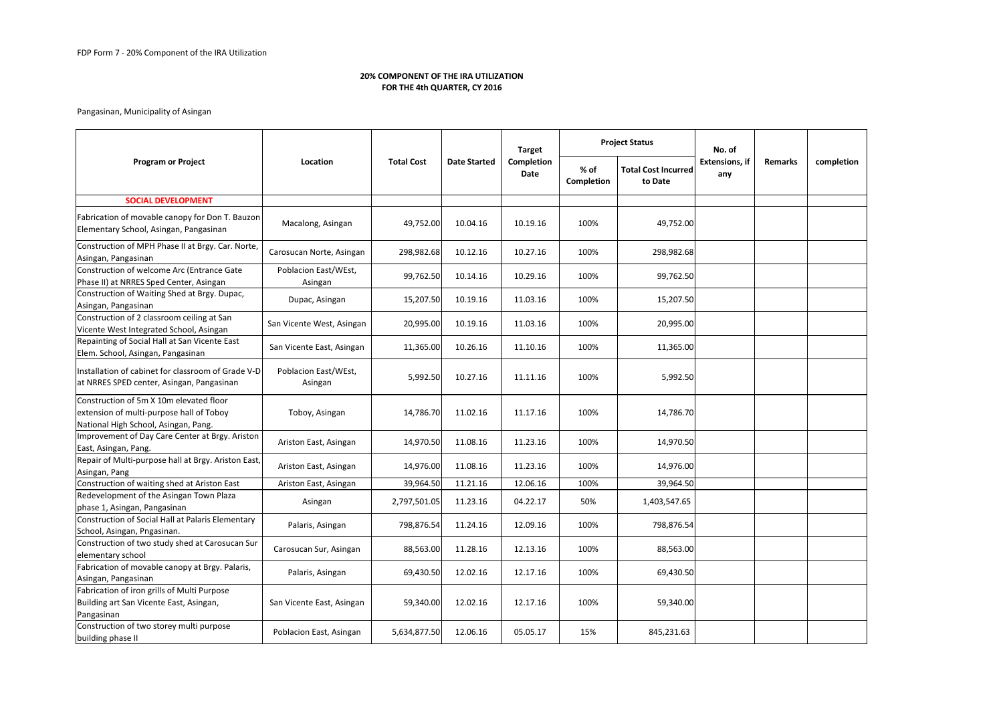|                                                                                                                             |                                 |                   |                     | <b>Target</b>             |                           | <b>Project Status</b>                 | No. of<br><b>Extensions, if</b><br>any | <b>Remarks</b> | completion |
|-----------------------------------------------------------------------------------------------------------------------------|---------------------------------|-------------------|---------------------|---------------------------|---------------------------|---------------------------------------|----------------------------------------|----------------|------------|
| <b>Program or Project</b>                                                                                                   | Location                        | <b>Total Cost</b> | <b>Date Started</b> | <b>Completion</b><br>Date | % of<br><b>Completion</b> | <b>Total Cost Incurred</b><br>to Date |                                        |                |            |
| <b>SOCIAL DEVELOPMENT</b>                                                                                                   |                                 |                   |                     |                           |                           |                                       |                                        |                |            |
| Fabrication of movable canopy for Don T. Bauzon<br>Elementary School, Asingan, Pangasinan                                   | Macalong, Asingan               | 49,752.00         | 10.04.16            | 10.19.16                  | 100%                      | 49,752.00                             |                                        |                |            |
| Construction of MPH Phase II at Brgy. Car. Norte,<br>Asingan, Pangasinan                                                    | Carosucan Norte, Asingan        | 298,982.68        | 10.12.16            | 10.27.16                  | 100%                      | 298,982.68                            |                                        |                |            |
| Construction of welcome Arc (Entrance Gate<br>Phase II) at NRRES Sped Center, Asingan                                       | Poblacion East/WEst,<br>Asingan | 99,762.50         | 10.14.16            | 10.29.16                  | 100%                      | 99,762.50                             |                                        |                |            |
| Construction of Waiting Shed at Brgy. Dupac,<br>Asingan, Pangasinan                                                         | Dupac, Asingan                  | 15,207.50         | 10.19.16            | 11.03.16                  | 100%                      | 15,207.50                             |                                        |                |            |
| Construction of 2 classroom ceiling at San<br>Vicente West Integrated School, Asingan                                       | San Vicente West, Asingan       | 20,995.00         | 10.19.16            | 11.03.16                  | 100%                      | 20,995.00                             |                                        |                |            |
| Repainting of Social Hall at San Vicente East<br>Elem. School, Asingan, Pangasinan                                          | San Vicente East, Asingan       | 11,365.00         | 10.26.16            | 11.10.16                  | 100%                      | 11,365.00                             |                                        |                |            |
| Installation of cabinet for classroom of Grade V-D<br>at NRRES SPED center, Asingan, Pangasinan                             | Poblacion East/WEst,<br>Asingan | 5,992.50          | 10.27.16            | 11.11.16                  | 100%                      | 5,992.50                              |                                        |                |            |
| Construction of 5m X 10m elevated floor<br>extension of multi-purpose hall of Toboy<br>National High School, Asingan, Pang. | Toboy, Asingan                  | 14,786.70         | 11.02.16            | 11.17.16                  | 100%                      | 14,786.70                             |                                        |                |            |
| Improvement of Day Care Center at Brgy. Ariston<br>East, Asingan, Pang.                                                     | Ariston East, Asingan           | 14,970.50         | 11.08.16            | 11.23.16                  | 100%                      | 14,970.50                             |                                        |                |            |
| Repair of Multi-purpose hall at Brgy. Ariston East,<br>Asingan, Pang                                                        | Ariston East, Asingan           | 14,976.00         | 11.08.16            | 11.23.16                  | 100%                      | 14,976.00                             |                                        |                |            |
| Construction of waiting shed at Ariston East                                                                                | Ariston East, Asingan           | 39,964.50         | 11.21.16            | 12.06.16                  | 100%                      | 39,964.50                             |                                        |                |            |
| Redevelopment of the Asingan Town Plaza<br>phase 1, Asingan, Pangasinan                                                     | Asingan                         | 2,797,501.05      | 11.23.16            | 04.22.17                  | 50%                       | 1,403,547.65                          |                                        |                |            |
| Construction of Social Hall at Palaris Elementary<br>School, Asingan, Pngasinan.                                            | Palaris, Asingan                | 798,876.54        | 11.24.16            | 12.09.16                  | 100%                      | 798,876.54                            |                                        |                |            |
| Construction of two study shed at Carosucan Sur<br>elementary school                                                        | Carosucan Sur, Asingan          | 88,563.00         | 11.28.16            | 12.13.16                  | 100%                      | 88,563.00                             |                                        |                |            |
| Fabrication of movable canopy at Brgy. Palaris,<br>Asingan, Pangasinan                                                      | Palaris, Asingan                | 69,430.50         | 12.02.16            | 12.17.16                  | 100%                      | 69,430.50                             |                                        |                |            |
| Fabrication of iron grills of Multi Purpose<br>Building art San Vicente East, Asingan,<br>Pangasinan                        | San Vicente East, Asingan       | 59,340.00         | 12.02.16            | 12.17.16                  | 100%                      | 59,340.00                             |                                        |                |            |
| Construction of two storey multi purpose<br>building phase II                                                               | Poblacion East, Asingan         | 5,634,877.50      | 12.06.16            | 05.05.17                  | 15%                       | 845,231.63                            |                                        |                |            |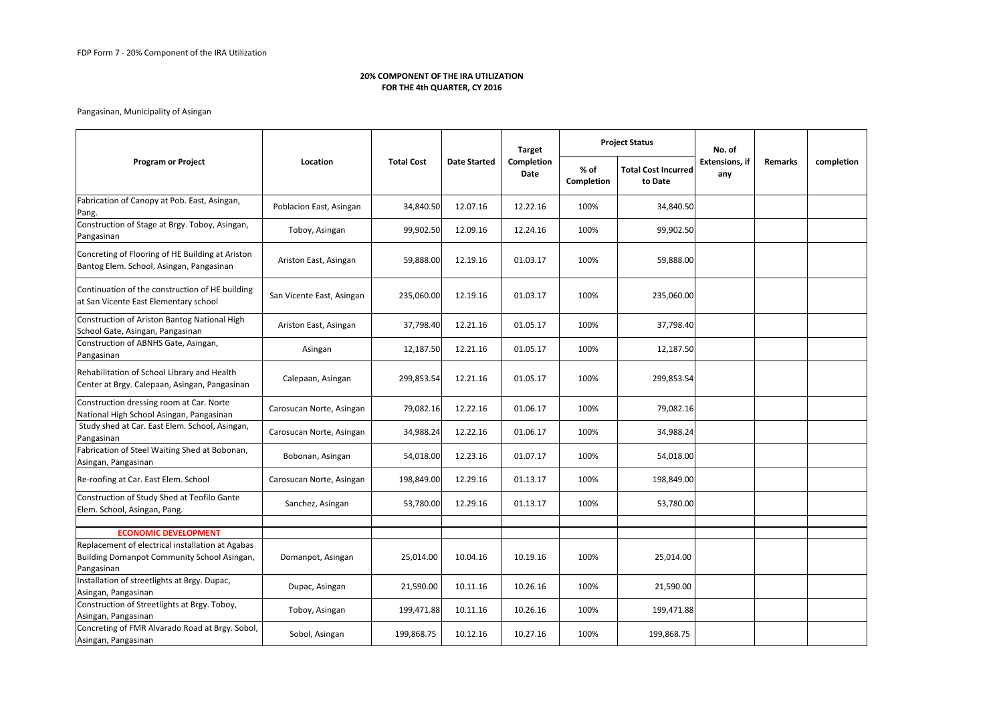|                                                                                                               |                           |                   |                     | <b>Target</b>             |                           | <b>Project Status</b>                 | No. of<br><b>Extensions, if</b><br>any | <b>Remarks</b> | completion |
|---------------------------------------------------------------------------------------------------------------|---------------------------|-------------------|---------------------|---------------------------|---------------------------|---------------------------------------|----------------------------------------|----------------|------------|
| <b>Program or Project</b>                                                                                     | Location                  | <b>Total Cost</b> | <b>Date Started</b> | <b>Completion</b><br>Date | % of<br><b>Completion</b> | <b>Total Cost Incurred</b><br>to Date |                                        |                |            |
| Fabrication of Canopy at Pob. East, Asingan,<br>Pang.                                                         | Poblacion East, Asingan   | 34,840.50         | 12.07.16            | 12.22.16                  | 100%                      | 34,840.50                             |                                        |                |            |
| Construction of Stage at Brgy. Toboy, Asingan,<br>Pangasinan                                                  | Toboy, Asingan            | 99,902.50         | 12.09.16            | 12.24.16                  | 100%                      | 99,902.50                             |                                        |                |            |
| Concreting of Flooring of HE Building at Ariston<br>Bantog Elem. School, Asingan, Pangasinan                  | Ariston East, Asingan     | 59,888.00         | 12.19.16            | 01.03.17                  | 100%                      | 59,888.00                             |                                        |                |            |
| Continuation of the construction of HE building<br>at San Vicente East Elementary school                      | San Vicente East, Asingan | 235,060.00        | 12.19.16            | 01.03.17                  | 100%                      | 235,060.00                            |                                        |                |            |
| Construction of Ariston Bantog National High<br>School Gate, Asingan, Pangasinan                              | Ariston East, Asingan     | 37,798.40         | 12.21.16            | 01.05.17                  | 100%                      | 37,798.40                             |                                        |                |            |
| Construction of ABNHS Gate, Asingan,<br>Pangasinan                                                            | Asingan                   | 12,187.50         | 12.21.16            | 01.05.17                  | 100%                      | 12,187.50                             |                                        |                |            |
| Rehabilitation of School Library and Health<br>Center at Brgy. Calepaan, Asingan, Pangasinan                  | Calepaan, Asingan         | 299,853.54        | 12.21.16            | 01.05.17                  | 100%                      | 299,853.54                            |                                        |                |            |
| Construction dressing room at Car. Norte<br>National High School Asingan, Pangasinan                          | Carosucan Norte, Asingan  | 79,082.16         | 12.22.16            | 01.06.17                  | 100%                      | 79,082.16                             |                                        |                |            |
| Study shed at Car. East Elem. School, Asingan,<br>Pangasinan                                                  | Carosucan Norte, Asingan  | 34,988.24         | 12.22.16            | 01.06.17                  | 100%                      | 34,988.24                             |                                        |                |            |
| Fabrication of Steel Waiting Shed at Bobonan,<br>Asingan, Pangasinan                                          | Bobonan, Asingan          | 54,018.00         | 12.23.16            | 01.07.17                  | 100%                      | 54,018.00                             |                                        |                |            |
| Re-roofing at Car. East Elem. School                                                                          | Carosucan Norte, Asingan  | 198,849.00        | 12.29.16            | 01.13.17                  | 100%                      | 198,849.00                            |                                        |                |            |
| Construction of Study Shed at Teofilo Gante<br>Elem. School, Asingan, Pang.                                   | Sanchez, Asingan          | 53,780.00         | 12.29.16            | 01.13.17                  | 100%                      | 53,780.00                             |                                        |                |            |
| <b>ECONOMIC DEVELOPMENT</b>                                                                                   |                           |                   |                     |                           |                           |                                       |                                        |                |            |
| Replacement of electrical installation at Agabas<br>Building Domanpot Community School Asingan,<br>Pangasinan | Domanpot, Asingan         | 25,014.00         | 10.04.16            | 10.19.16                  | 100%                      | 25,014.00                             |                                        |                |            |
| Installation of streetlights at Brgy. Dupac,<br>Asingan, Pangasinan                                           | Dupac, Asingan            | 21,590.00         | 10.11.16            | 10.26.16                  | 100%                      | 21,590.00                             |                                        |                |            |
| Construction of Streetlights at Brgy. Toboy,<br>Asingan, Pangasinan                                           | Toboy, Asingan            | 199,471.88        | 10.11.16            | 10.26.16                  | 100%                      | 199,471.88                            |                                        |                |            |
| Concreting of FMR Alvarado Road at Brgy. Sobol,<br>Asingan, Pangasinan                                        | Sobol, Asingan            | 199,868.75        | 10.12.16            | 10.27.16                  | 100%                      | 199,868.75                            |                                        |                |            |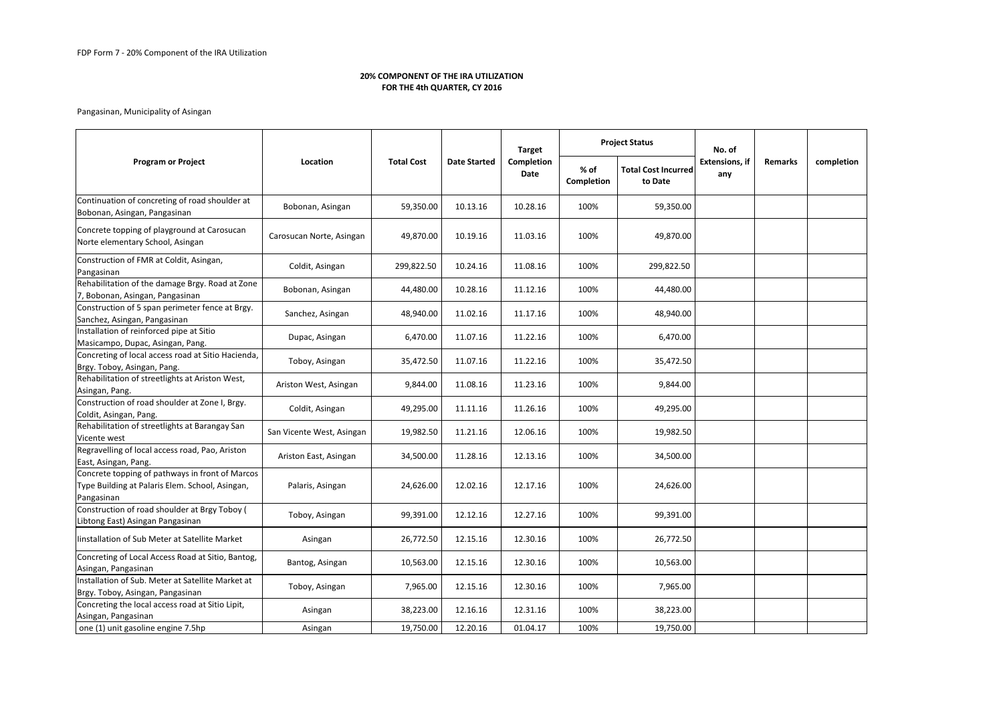|                                                                                                                  |                           |                                                                               |                   | <b>Target</b>                         |                              | <b>Project Status</b> | No. of     |  |  |
|------------------------------------------------------------------------------------------------------------------|---------------------------|-------------------------------------------------------------------------------|-------------------|---------------------------------------|------------------------------|-----------------------|------------|--|--|
| <b>Program or Project</b>                                                                                        | Location                  | <b>Total Cost</b><br><b>Completion</b><br><b>Date Started</b><br>% of<br>Date | <b>Completion</b> | <b>Total Cost Incurred</b><br>to Date | <b>Extensions, if</b><br>any | <b>Remarks</b>        | completion |  |  |
| Continuation of concreting of road shoulder at<br>Bobonan, Asingan, Pangasinan                                   | Bobonan, Asingan          | 59,350.00                                                                     | 10.13.16          | 10.28.16                              | 100%                         | 59,350.00             |            |  |  |
| Concrete topping of playground at Carosucan<br>Norte elementary School, Asingan                                  | Carosucan Norte, Asingan  | 49,870.00                                                                     | 10.19.16          | 11.03.16                              | 100%                         | 49,870.00             |            |  |  |
| Construction of FMR at Coldit, Asingan,<br>Pangasinan                                                            | Coldit, Asingan           | 299,822.50                                                                    | 10.24.16          | 11.08.16                              | 100%                         | 299,822.50            |            |  |  |
| Rehabilitation of the damage Brgy. Road at Zone<br>7, Bobonan, Asingan, Pangasinan                               | Bobonan, Asingan          | 44,480.00                                                                     | 10.28.16          | 11.12.16                              | 100%                         | 44,480.00             |            |  |  |
| Construction of 5 span perimeter fence at Brgy.<br>Sanchez, Asingan, Pangasinan                                  | Sanchez, Asingan          | 48,940.00                                                                     | 11.02.16          | 11.17.16                              | 100%                         | 48,940.00             |            |  |  |
| Installation of reinforced pipe at Sitio<br>Masicampo, Dupac, Asingan, Pang.                                     | Dupac, Asingan            | 6,470.00                                                                      | 11.07.16          | 11.22.16                              | 100%                         | 6,470.00              |            |  |  |
| Concreting of local access road at Sitio Hacienda,<br>Brgy. Toboy, Asingan, Pang.                                | Toboy, Asingan            | 35,472.50                                                                     | 11.07.16          | 11.22.16                              | 100%                         | 35,472.50             |            |  |  |
| Rehabilitation of streetlights at Ariston West,<br>Asingan, Pang.                                                | Ariston West, Asingan     | 9,844.00                                                                      | 11.08.16          | 11.23.16                              | 100%                         | 9,844.00              |            |  |  |
| Construction of road shoulder at Zone I, Brgy.<br>Coldit, Asingan, Pang.                                         | Coldit, Asingan           | 49,295.00                                                                     | 11.11.16          | 11.26.16                              | 100%                         | 49,295.00             |            |  |  |
| Rehabilitation of streetlights at Barangay San<br>Vicente west                                                   | San Vicente West, Asingan | 19,982.50                                                                     | 11.21.16          | 12.06.16                              | 100%                         | 19,982.50             |            |  |  |
| Regravelling of local access road, Pao, Ariston<br>East, Asingan, Pang.                                          | Ariston East, Asingan     | 34,500.00                                                                     | 11.28.16          | 12.13.16                              | 100%                         | 34,500.00             |            |  |  |
| Concrete topping of pathways in front of Marcos<br>Type Building at Palaris Elem. School, Asingan,<br>Pangasinan | Palaris, Asingan          | 24,626.00                                                                     | 12.02.16          | 12.17.16                              | 100%                         | 24,626.00             |            |  |  |
| Construction of road shoulder at Brgy Toboy (<br>Libtong East) Asingan Pangasinan                                | Toboy, Asingan            | 99,391.00                                                                     | 12.12.16          | 12.27.16                              | 100%                         | 99,391.00             |            |  |  |
| Iinstallation of Sub Meter at Satellite Market                                                                   | Asingan                   | 26,772.50                                                                     | 12.15.16          | 12.30.16                              | 100%                         | 26,772.50             |            |  |  |
| Concreting of Local Access Road at Sitio, Bantog,<br>Asingan, Pangasinan                                         | Bantog, Asingan           | 10,563.00                                                                     | 12.15.16          | 12.30.16                              | 100%                         | 10,563.00             |            |  |  |
| Installation of Sub. Meter at Satellite Market at<br>Brgy. Toboy, Asingan, Pangasinan                            | Toboy, Asingan            | 7,965.00                                                                      | 12.15.16          | 12.30.16                              | 100%                         | 7,965.00              |            |  |  |
| Concreting the local access road at Sitio Lipit,<br>Asingan, Pangasinan                                          | Asingan                   | 38,223.00                                                                     | 12.16.16          | 12.31.16                              | 100%                         | 38,223.00             |            |  |  |
| one (1) unit gasoline engine 7.5hp                                                                               | Asingan                   | 19,750.00                                                                     | 12.20.16          | 01.04.17                              | 100%                         | 19,750.00             |            |  |  |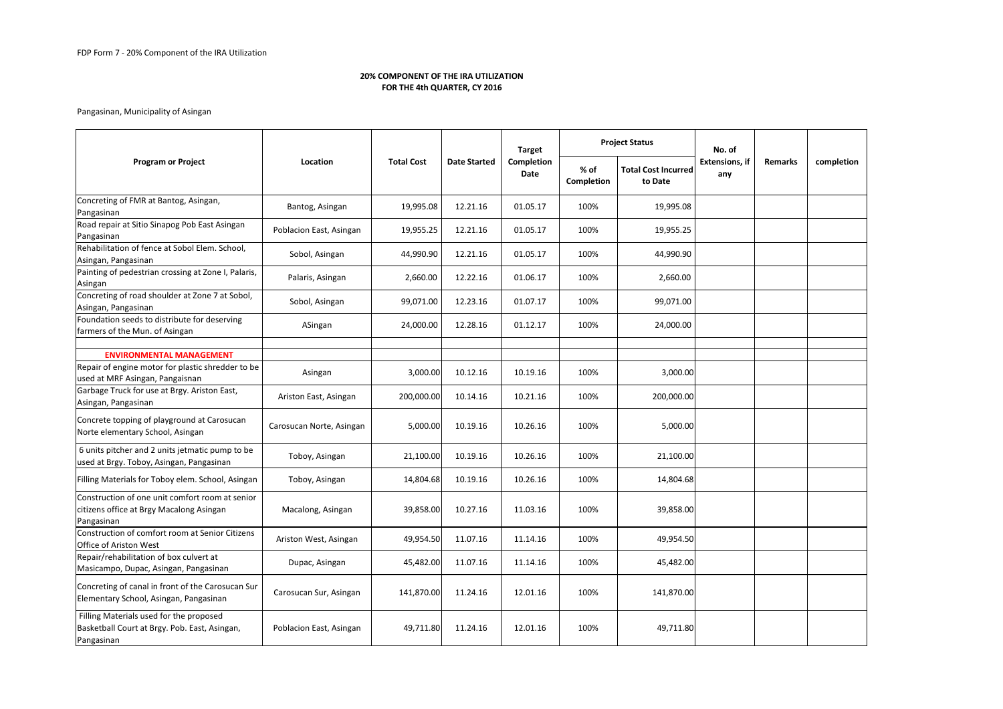|                                                                                                           |                          |                   |                     | <b>Target</b>             |                    | <b>Project Status</b><br>to Date | No. of<br><b>Extensions, if</b><br>any | <b>Remarks</b> | completion |
|-----------------------------------------------------------------------------------------------------------|--------------------------|-------------------|---------------------|---------------------------|--------------------|----------------------------------|----------------------------------------|----------------|------------|
| <b>Program or Project</b>                                                                                 | Location                 | <b>Total Cost</b> | <b>Date Started</b> | <b>Completion</b><br>Date | % of<br>Completion | <b>Total Cost Incurred</b>       |                                        |                |            |
| Concreting of FMR at Bantog, Asingan,<br>Pangasinan                                                       | Bantog, Asingan          | 19,995.08         | 12.21.16            | 01.05.17                  | 100%               | 19,995.08                        |                                        |                |            |
| Road repair at Sitio Sinapog Pob East Asingan<br>Pangasinan                                               | Poblacion East, Asingan  | 19,955.25         | 12.21.16            | 01.05.17                  | 100%               | 19,955.25                        |                                        |                |            |
| Rehabilitation of fence at Sobol Elem. School,<br>Asingan, Pangasinan                                     | Sobol, Asingan           | 44,990.90         | 12.21.16            | 01.05.17                  | 100%               | 44,990.90                        |                                        |                |            |
| Painting of pedestrian crossing at Zone I, Palaris,<br>Asingan                                            | Palaris, Asingan         | 2,660.00          | 12.22.16            | 01.06.17                  | 100%               | 2,660.00                         |                                        |                |            |
| Concreting of road shoulder at Zone 7 at Sobol,<br>Asingan, Pangasinan                                    | Sobol, Asingan           | 99,071.00         | 12.23.16            | 01.07.17                  | 100%               | 99,071.00                        |                                        |                |            |
| Foundation seeds to distribute for deserving<br>farmers of the Mun. of Asingan                            | ASingan                  | 24,000.00         | 12.28.16            | 01.12.17                  | 100%               | 24,000.00                        |                                        |                |            |
|                                                                                                           |                          |                   |                     |                           |                    |                                  |                                        |                |            |
| <b>ENVIRONMENTAL MANAGEMENT</b>                                                                           |                          |                   |                     |                           |                    |                                  |                                        |                |            |
| Repair of engine motor for plastic shredder to be<br>used at MRF Asingan, Pangaisnan                      | Asingan                  | 3,000.00          | 10.12.16            | 10.19.16                  | 100%               | 3,000.00                         |                                        |                |            |
| Garbage Truck for use at Brgy. Ariston East,<br>Asingan, Pangasinan                                       | Ariston East, Asingan    | 200,000.00        | 10.14.16            | 10.21.16                  | 100%               | 200,000.00                       |                                        |                |            |
| Concrete topping of playground at Carosucan<br>Norte elementary School, Asingan                           | Carosucan Norte, Asingan | 5,000.00          | 10.19.16            | 10.26.16                  | 100%               | 5,000.00                         |                                        |                |            |
| 6 units pitcher and 2 units jetmatic pump to be<br>used at Brgy. Toboy, Asingan, Pangasinan               | Toboy, Asingan           | 21,100.00         | 10.19.16            | 10.26.16                  | 100%               | 21,100.00                        |                                        |                |            |
| Filling Materials for Toboy elem. School, Asingan                                                         | Toboy, Asingan           | 14,804.68         | 10.19.16            | 10.26.16                  | 100%               | 14,804.68                        |                                        |                |            |
| Construction of one unit comfort room at senior<br>citizens office at Brgy Macalong Asingan<br>Pangasinan | Macalong, Asingan        | 39,858.00         | 10.27.16            | 11.03.16                  | 100%               | 39,858.00                        |                                        |                |            |
| Construction of comfort room at Senior Citizens<br>Office of Ariston West                                 | Ariston West, Asingan    | 49,954.50         | 11.07.16            | 11.14.16                  | 100%               | 49,954.50                        |                                        |                |            |
| Repair/rehabilitation of box culvert at<br>Masicampo, Dupac, Asingan, Pangasinan                          | Dupac, Asingan           | 45,482.00         | 11.07.16            | 11.14.16                  | 100%               | 45,482.00                        |                                        |                |            |
| Concreting of canal in front of the Carosucan Sur<br>Elementary School, Asingan, Pangasinan               | Carosucan Sur, Asingan   | 141,870.00        | 11.24.16            | 12.01.16                  | 100%               | 141,870.00                       |                                        |                |            |
| Filling Materials used for the proposed<br>Basketball Court at Brgy. Pob. East, Asingan,<br>Pangasinan    | Poblacion East, Asingan  | 49,711.80         | 11.24.16            | 12.01.16                  | 100%               | 49,711.80                        |                                        |                |            |